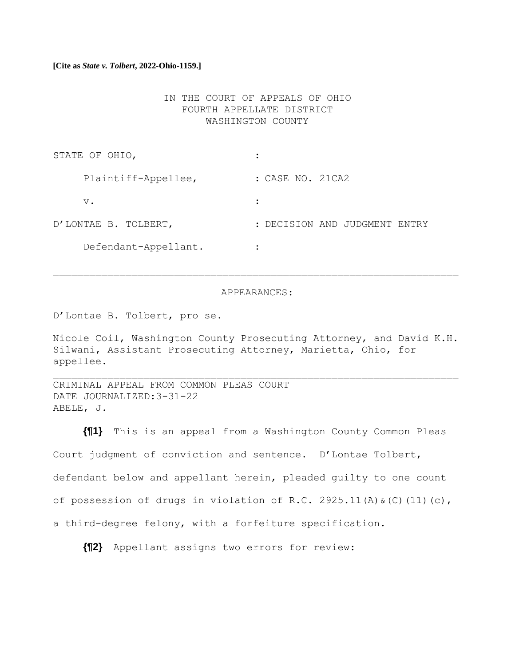# **[Cite as** *State v. Tolbert***, 2022-Ohio-1159.]**

# IN THE COURT OF APPEALS OF OHIO FOURTH APPELLATE DISTRICT WASHINGTON COUNTY

| STATE OF OHIO,       |                               |
|----------------------|-------------------------------|
| Plaintiff-Appellee,  | : CASE NO. 21CA2              |
| $V$ .                |                               |
| D'LONTAE B. TOLBERT, | : DECISION AND JUDGMENT ENTRY |
| Defendant-Appellant. |                               |

#### APPEARANCES:

D'Lontae B. Tolbert, pro se.

Nicole Coil, Washington County Prosecuting Attorney, and David K.H. Silwani, Assistant Prosecuting Attorney, Marietta, Ohio, for appellee.

CRIMINAL APPEAL FROM COMMON PLEAS COURT DATE JOURNALIZED:3-31-22 ABELE, J.

**{¶1}** This is an appeal from a Washington County Common Pleas Court judgment of conviction and sentence. D'Lontae Tolbert, defendant below and appellant herein, pleaded guilty to one count of possession of drugs in violation of R.C. 2925.11(A)  $\&(C)$  (11)(c), a third-degree felony, with a forfeiture specification.

**{¶2}** Appellant assigns two errors for review: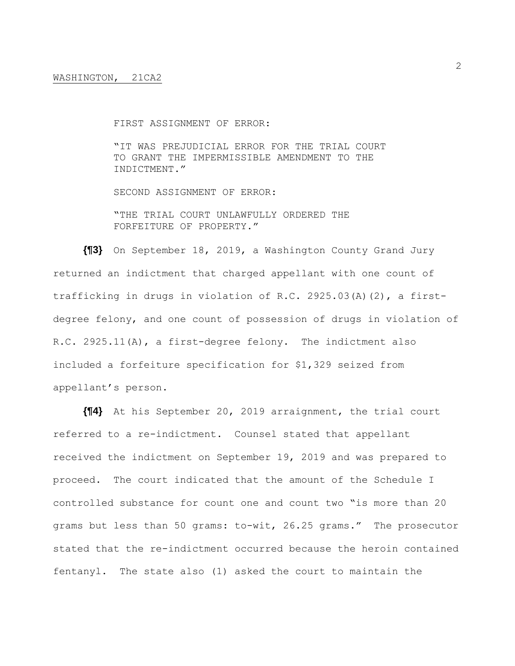FIRST ASSIGNMENT OF ERROR:

"IT WAS PREJUDICIAL ERROR FOR THE TRIAL COURT TO GRANT THE IMPERMISSIBLE AMENDMENT TO THE INDICTMENT."

SECOND ASSIGNMENT OF ERROR:

"THE TRIAL COURT UNLAWFULLY ORDERED THE FORFEITURE OF PROPERTY."

**{¶3}** On September 18, 2019, a Washington County Grand Jury returned an indictment that charged appellant with one count of trafficking in drugs in violation of R.C. 2925.03(A)(2), a firstdegree felony, and one count of possession of drugs in violation of R.C. 2925.11(A), a first-degree felony. The indictment also included a forfeiture specification for \$1,329 seized from appellant's person.

**{¶4}** At his September 20, 2019 arraignment, the trial court referred to a re-indictment. Counsel stated that appellant received the indictment on September 19, 2019 and was prepared to proceed. The court indicated that the amount of the Schedule I controlled substance for count one and count two "is more than 20 grams but less than 50 grams: to-wit, 26.25 grams." The prosecutor stated that the re-indictment occurred because the heroin contained fentanyl. The state also (1) asked the court to maintain the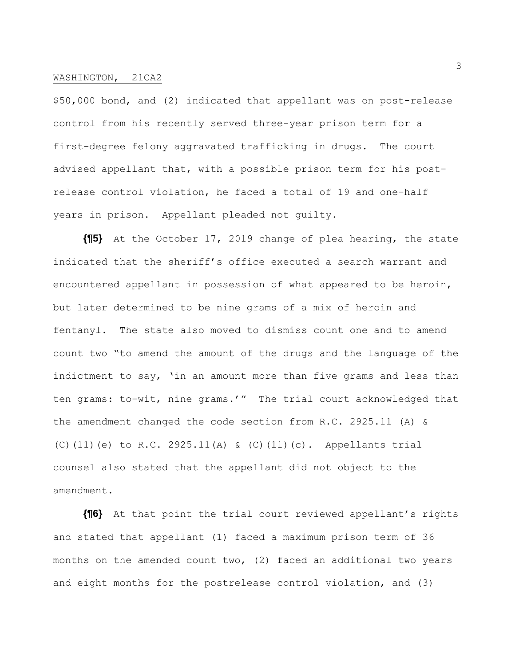\$50,000 bond, and (2) indicated that appellant was on post-release control from his recently served three-year prison term for a first-degree felony aggravated trafficking in drugs. The court advised appellant that, with a possible prison term for his postrelease control violation, he faced a total of 19 and one-half years in prison. Appellant pleaded not guilty.

**{¶5}** At the October 17, 2019 change of plea hearing, the state indicated that the sheriff's office executed a search warrant and encountered appellant in possession of what appeared to be heroin, but later determined to be nine grams of a mix of heroin and fentanyl. The state also moved to dismiss count one and to amend count two "to amend the amount of the drugs and the language of the indictment to say, 'in an amount more than five grams and less than ten grams: to-wit, nine grams.'" The trial court acknowledged that the amendment changed the code section from R.C. 2925.11 (A) & (C)(11)(e) to R.C. 2925.11(A) & (C)(11)(c). Appellants trial counsel also stated that the appellant did not object to the amendment.

**{¶6}** At that point the trial court reviewed appellant's rights and stated that appellant (1) faced a maximum prison term of 36 months on the amended count two, (2) faced an additional two years and eight months for the postrelease control violation, and (3)

3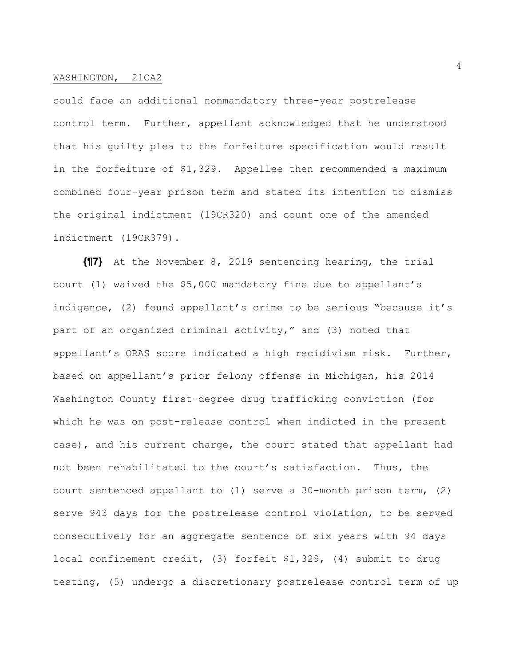could face an additional nonmandatory three-year postrelease control term. Further, appellant acknowledged that he understood that his guilty plea to the forfeiture specification would result in the forfeiture of \$1,329. Appellee then recommended a maximum combined four-year prison term and stated its intention to dismiss the original indictment (19CR320) and count one of the amended indictment (19CR379).

**{¶7}** At the November 8, 2019 sentencing hearing, the trial court (1) waived the \$5,000 mandatory fine due to appellant's indigence, (2) found appellant's crime to be serious "because it's part of an organized criminal activity," and (3) noted that appellant's ORAS score indicated a high recidivism risk. Further, based on appellant's prior felony offense in Michigan, his 2014 Washington County first-degree drug trafficking conviction (for which he was on post-release control when indicted in the present case), and his current charge, the court stated that appellant had not been rehabilitated to the court's satisfaction. Thus, the court sentenced appellant to (1) serve a 30-month prison term, (2) serve 943 days for the postrelease control violation, to be served consecutively for an aggregate sentence of six years with 94 days local confinement credit, (3) forfeit \$1,329, (4) submit to drug testing, (5) undergo a discretionary postrelease control term of up

4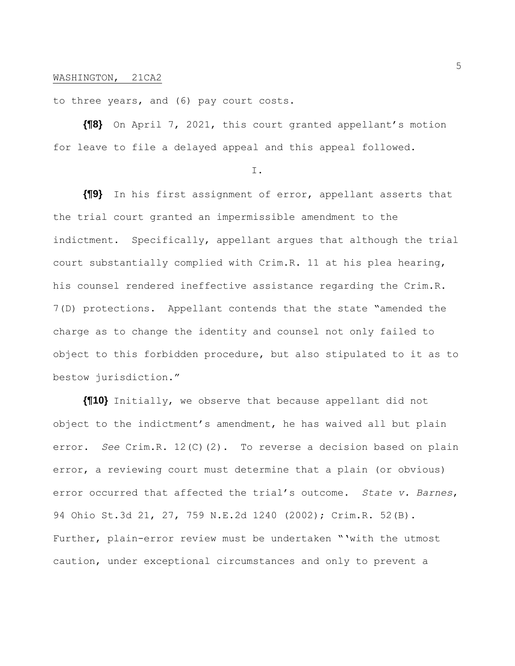to three years, and (6) pay court costs.

**{¶8}** On April 7, 2021, this court granted appellant's motion for leave to file a delayed appeal and this appeal followed.

I.

**{¶9}** In his first assignment of error, appellant asserts that the trial court granted an impermissible amendment to the indictment. Specifically, appellant argues that although the trial court substantially complied with Crim.R. 11 at his plea hearing, his counsel rendered ineffective assistance regarding the Crim.R. 7(D) protections. Appellant contends that the state "amended the charge as to change the identity and counsel not only failed to object to this forbidden procedure, but also stipulated to it as to bestow jurisdiction."

**{¶10}** Initially, we observe that because appellant did not object to the indictment's amendment, he has waived all but plain error. *See* Crim.R. 12(C)(2). To reverse a decision based on plain error, a reviewing court must determine that a plain (or obvious) error occurred that affected the trial's outcome. *State v. Barnes*, 94 Ohio St.3d 21, 27, 759 N.E.2d 1240 (2002); Crim.R. 52(B). Further, plain-error review must be undertaken "'with the utmost caution, under exceptional circumstances and only to prevent a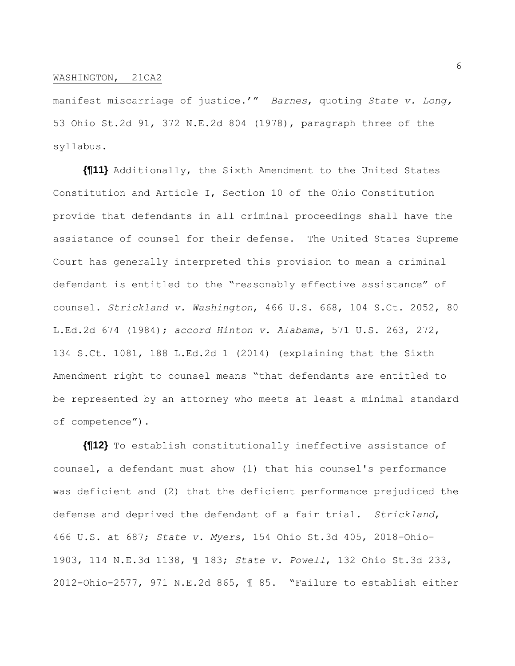manifest miscarriage of justice.'" *Barnes*, quoting *State v. Long,*  53 Ohio St.2d 91, 372 N.E.2d 804 (1978), paragraph three of the syllabus.

**{¶11}** Additionally, the Sixth Amendment to the United States Constitution and Article I, Section 10 of the Ohio Constitution provide that defendants in all criminal proceedings shall have the assistance of counsel for their defense. The United States Supreme Court has generally interpreted this provision to mean a criminal defendant is entitled to the "reasonably effective assistance" of counsel. *Strickland v. Washington*, 466 U.S. 668, 104 S.Ct. 2052, 80 L.Ed.2d 674 (1984); *accord Hinton v. Alabama*, 571 U.S. 263, 272, 134 S.Ct. 1081, 188 L.Ed.2d 1 (2014) (explaining that the Sixth Amendment right to counsel means "that defendants are entitled to be represented by an attorney who meets at least a minimal standard of competence").

**{¶12}** To establish constitutionally ineffective assistance of counsel, a defendant must show (1) that his counsel's performance was deficient and (2) that the deficient performance prejudiced the defense and deprived the defendant of a fair trial. *Strickland*, 466 U.S. at 687; *State v. Myers*, 154 Ohio St.3d 405, 2018-Ohio-1903, 114 N.E.3d 1138, ¶ 183; *State v. Powell*, 132 Ohio St.3d 233, 2012-Ohio-2577, 971 N.E.2d 865, ¶ 85. "Failure to establish either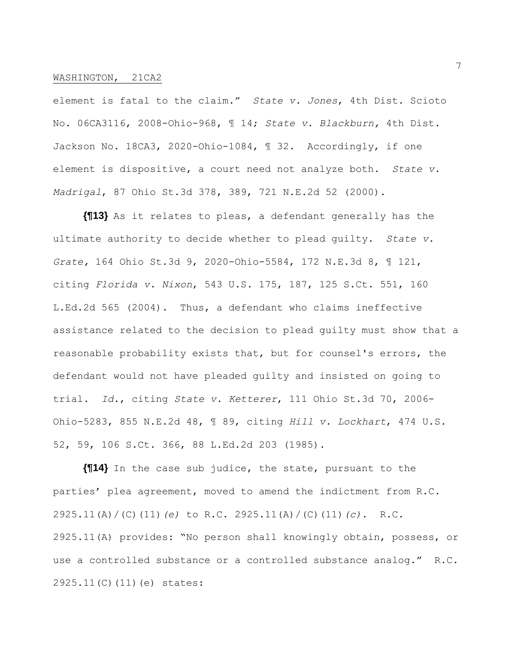element is fatal to the claim." *State v. Jones*, 4th Dist. Scioto No. 06CA3116, 2008-Ohio-968, ¶ 14; *State v. Blackburn,* 4th Dist. Jackson No. 18CA3, 2020-Ohio-1084, ¶ 32. Accordingly, if one element is dispositive, a court need not analyze both. *State v. Madrigal*, 87 Ohio St.3d 378, 389, 721 N.E.2d 52 (2000).

**{¶13}** As it relates to pleas, a defendant generally has the ultimate authority to decide whether to plead guilty. *State v. Grate,* 164 Ohio St.3d 9, 2020-Ohio-5584, 172 N.E.3d 8, ¶ 121, citing *Florida v. Nixon*, 543 U.S. 175, 187, 125 S.Ct. 551, 160 L.Ed.2d 565 (2004). Thus, a defendant who claims ineffective assistance related to the decision to plead guilty must show that a reasonable probability exists that, but for counsel's errors, the defendant would not have pleaded guilty and insisted on going to trial. *Id.*, citing *State v. Ketterer*, 111 Ohio St.3d 70, 2006- Ohio-5283, 855 N.E.2d 48, ¶ 89, citing *Hill v. Lockhart*, 474 U.S. 52, 59, 106 S.Ct. 366, 88 L.Ed.2d 203 (1985).

**{¶14}** In the case sub judice, the state, pursuant to the parties' plea agreement, moved to amend the indictment from R.C. 2925.11(A)/(C)(11)*(e)* to R.C. 2925.11(A)/(C)(11)*(c)*. R.C. 2925.11(A) provides: "No person shall knowingly obtain, possess, or use a controlled substance or a controlled substance analog." R.C. 2925.11(C)(11)(e) states: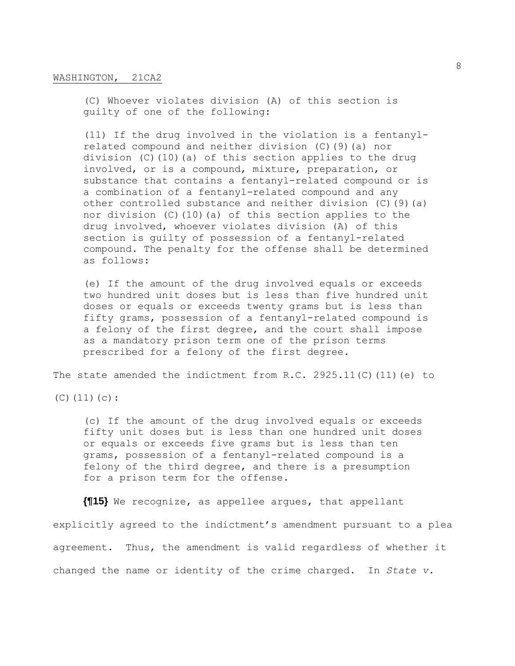(C) Whoever violates division (A) of this section is guilty of one of the following:

(11) If the drug involved in the violation is a fentanylrelated compound and neither division (C)(9)(a) nor division (C)(10)(a) of this section applies to the drug involved, or is a compound, mixture, preparation, or substance that contains a fentanyl-related compound or is a combination of a fentanyl-related compound and any other controlled substance and neither division (C)(9)(a) nor division (C)(10)(a) of this section applies to the drug involved, whoever violates division (A) of this section is guilty of possession of a fentanyl-related compound. The penalty for the offense shall be determined as follows:

(e) If the amount of the drug involved equals or exceeds two hundred unit doses but is less than five hundred unit doses or equals or exceeds twenty grams but is less than fifty grams, possession of a fentanyl-related compound is a felony of the first degree, and the court shall impose as a mandatory prison term one of the prison terms prescribed for a felony of the first degree.

The state amended the indictment from R.C. 2925.11(C)(11)(e) to

(C)(11)(c):

(c) If the amount of the drug involved equals or exceeds fifty unit doses but is less than one hundred unit doses or equals or exceeds five grams but is less than ten grams, possession of a fentanyl-related compound is a felony of the third degree, and there is a presumption for a prison term for the offense.

**{¶15}** We recognize, as appellee argues, that appellant explicitly agreed to the indictment's amendment pursuant to a plea agreement. Thus, the amendment is valid regardless of whether it changed the name or identity of the crime charged. In *State v.*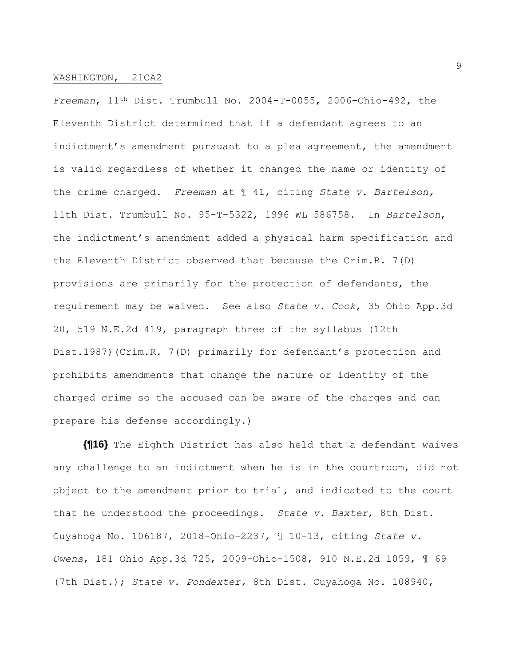*Freeman*, 11th Dist. Trumbull No. 2004-T-0055, 2006-Ohio-492, the Eleventh District determined that if a defendant agrees to an indictment's amendment pursuant to a plea agreement, the amendment is valid regardless of whether it changed the name or identity of the crime charged. *Freeman* at ¶ 41, citing *State v. Bartelson,*  11th Dist. Trumbull No. 95-T-5322, 1996 WL 586758. In *Bartelson*, the indictment's amendment added a physical harm specification and the Eleventh District observed that because the Crim.R. 7(D) provisions are primarily for the protection of defendants, the requirement may be waived. See also *State v. Cook*, 35 Ohio App.3d 20, 519 N.E.2d 419, paragraph three of the syllabus (12th Dist.1987)(Crim.R. 7(D) primarily for defendant's protection and prohibits amendments that change the nature or identity of the charged crime so the accused can be aware of the charges and can prepare his defense accordingly.)

**{¶16}** The Eighth District has also held that a defendant waives any challenge to an indictment when he is in the courtroom, did not object to the amendment prior to trial, and indicated to the court that he understood the proceedings. *State v. Baxter*, 8th Dist. Cuyahoga No. 106187, 2018-Ohio-2237, ¶ 10-13, citing *State v. Owens*, 181 Ohio App.3d 725, 2009-Ohio-1508, 910 N.E.2d 1059, ¶ 69 (7th Dist.); *State v. Pondexter,* 8th Dist. Cuyahoga No. 108940,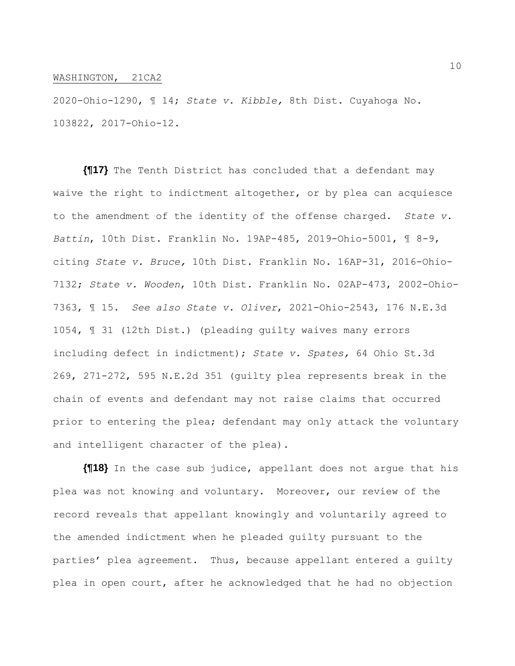2020-Ohio-1290, ¶ 14; *State v. Kibble,* 8th Dist. Cuyahoga No. 103822, 2017-Ohio-12.

**{¶17}** The Tenth District has concluded that a defendant may waive the right to indictment altogether, or by plea can acquiesce to the amendment of the identity of the offense charged. *State v. Battin*, 10th Dist. Franklin No. 19AP-485, 2019-Ohio-5001, ¶ 8-9, citing *State v. Bruce,* 10th Dist. Franklin No. 16AP-31, 2016-Ohio-7132; *State v. Wooden*, 10th Dist. Franklin No. 02AP-473, 2002-Ohio-7363, ¶ 15. *See also State v. Oliver*, 2021-Ohio-2543, 176 N.E.3d 1054, ¶ 31 (12th Dist.) (pleading guilty waives many errors including defect in indictment); *State v. Spates,* 64 Ohio St.3d 269, 271-272, 595 N.E.2d 351 (guilty plea represents break in the chain of events and defendant may not raise claims that occurred prior to entering the plea; defendant may only attack the voluntary and intelligent character of the plea).

**{¶18}** In the case sub judice, appellant does not argue that his plea was not knowing and voluntary. Moreover, our review of the record reveals that appellant knowingly and voluntarily agreed to the amended indictment when he pleaded guilty pursuant to the parties' plea agreement. Thus, because appellant entered a guilty plea in open court, after he acknowledged that he had no objection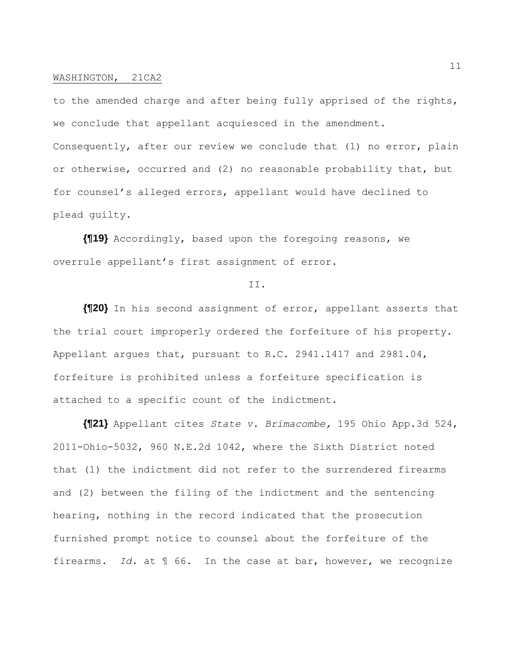to the amended charge and after being fully apprised of the rights, we conclude that appellant acquiesced in the amendment. Consequently, after our review we conclude that (1) no error, plain or otherwise, occurred and (2) no reasonable probability that, but for counsel's alleged errors, appellant would have declined to plead guilty.

**{¶19}** Accordingly, based upon the foregoing reasons, we overrule appellant's first assignment of error.

# II.

**{¶20}** In his second assignment of error, appellant asserts that the trial court improperly ordered the forfeiture of his property. Appellant argues that, pursuant to R.C. 2941.1417 and 2981.04, forfeiture is prohibited unless a forfeiture specification is attached to a specific count of the indictment.

**{¶21}** Appellant cites *State v. Brimacombe,* 195 Ohio App.3d 524, 2011-Ohio-5032, 960 N.E.2d 1042, where the Sixth District noted that (1) the indictment did not refer to the surrendered firearms and (2) between the filing of the indictment and the sentencing hearing, nothing in the record indicated that the prosecution furnished prompt notice to counsel about the forfeiture of the firearms. *Id.* at ¶ 66. In the case at bar, however, we recognize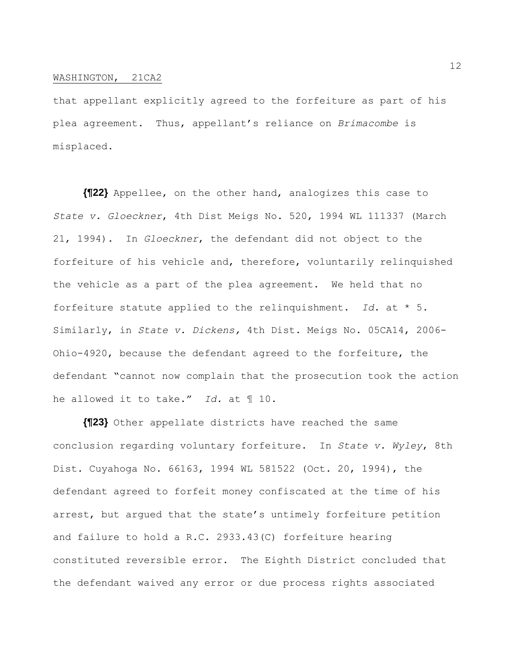that appellant explicitly agreed to the forfeiture as part of his plea agreement. Thus, appellant's reliance on *Brimacombe* is misplaced.

**{¶22}** Appellee, on the other hand, analogizes this case to *State v. Gloeckner*, 4th Dist Meigs No. 520, 1994 WL 111337 (March 21, 1994). In *Gloeckner*, the defendant did not object to the forfeiture of his vehicle and, therefore, voluntarily relinquished the vehicle as a part of the plea agreement. We held that no forfeiture statute applied to the relinquishment. *Id.* at \* 5. Similarly, in *State v. Dickens,* 4th Dist. Meigs No. 05CA14, 2006- Ohio-4920, because the defendant agreed to the forfeiture, the defendant "cannot now complain that the prosecution took the action he allowed it to take." *Id.* at ¶ 10.

**{¶23}** Other appellate districts have reached the same conclusion regarding voluntary forfeiture. In *State v. Wyley*, 8th Dist. Cuyahoga No. 66163, 1994 WL 581522 (Oct. 20, 1994), the defendant agreed to forfeit money confiscated at the time of his arrest, but argued that the state's untimely forfeiture petition and failure to hold a R.C. 2933.43(C) forfeiture hearing constituted reversible error. The Eighth District concluded that the defendant waived any error or due process rights associated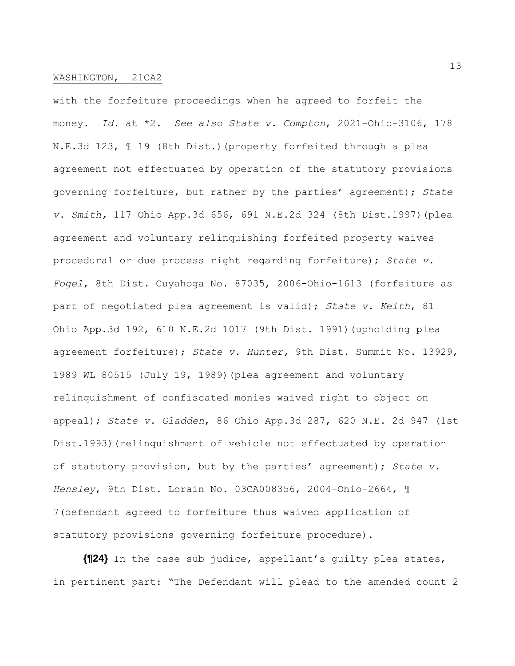with the forfeiture proceedings when he agreed to forfeit the money. *Id.* at \*2. *See also State v. Compton*, 2021-Ohio-3106, 178 N.E.3d 123, ¶ 19 (8th Dist.)(property forfeited through a plea agreement not effectuated by operation of the statutory provisions governing forfeiture, but rather by the parties' agreement); *State v. Smith,* 117 Ohio App.3d 656, 691 N.E.2d 324 (8th Dist.1997)(plea agreement and voluntary relinquishing forfeited property waives procedural or due process right regarding forfeiture); *State v. Fogel*, 8th Dist. Cuyahoga No. 87035, 2006-Ohio-1613 (forfeiture as part of negotiated plea agreement is valid); *State v. Keith*, 81 Ohio App.3d 192, 610 N.E.2d 1017 (9th Dist. 1991)(upholding plea agreement forfeiture); *State v. Hunter,* 9th Dist. Summit No. 13929, 1989 WL 80515 (July 19, 1989)(plea agreement and voluntary relinquishment of confiscated monies waived right to object on appeal); *State v. Gladden*, 86 Ohio App.3d 287, 620 N.E. 2d 947 (1st Dist.1993)(relinquishment of vehicle not effectuated by operation of statutory provision, but by the parties' agreement); *State v. Hensley*, 9th Dist. Lorain No. 03CA008356, 2004-Ohio-2664, ¶ 7(defendant agreed to forfeiture thus waived application of statutory provisions governing forfeiture procedure).

**{¶24}** In the case sub judice, appellant's guilty plea states, in pertinent part: "The Defendant will plead to the amended count 2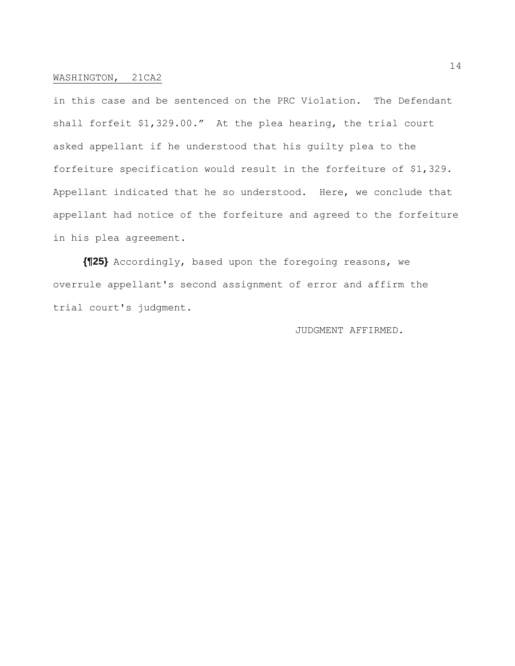in this case and be sentenced on the PRC Violation. The Defendant shall forfeit \$1,329.00." At the plea hearing, the trial court asked appellant if he understood that his guilty plea to the forfeiture specification would result in the forfeiture of \$1,329. Appellant indicated that he so understood. Here, we conclude that appellant had notice of the forfeiture and agreed to the forfeiture in his plea agreement.

**{¶25}** Accordingly, based upon the foregoing reasons, we overrule appellant's second assignment of error and affirm the trial court's judgment.

JUDGMENT AFFIRMED.